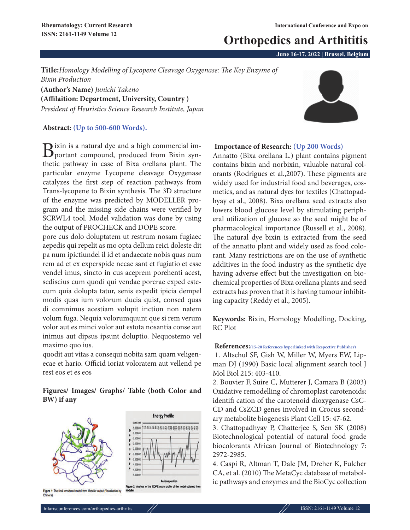# **Orthopedics and Arthititis**

**June 16-17, 2022 | Brussel, Belgium**

**Title:***Homology Modelling of Lycopene Cleavage Oxygenase: The Key Enzyme of Bixin Production* **(Author's Name)** *Junichi Takeno*

**(Affilaition: Department, University, Country )** *President of Heuristics Science Research Institute, Japan*

### **Abstract: (Up to 500-600 Words).**

Bixin is a natural dye and a high commercial im-<br>portant compound, produced from Bixin synthetic pathway in case of Bixa orellana plant. The particular enzyme Lycopene cleavage Oxygenase catalyzes the first step of reaction pathways from Trans-lycopene to Bixin synthesis. The 3D structure of the enzyme was predicted by MODELLER program and the missing side chains were verified by SCRWL4 tool. Model validation was done by using the output of PROCHECK and DOPE score.

pore cus dolo doluptatem ut restrum nosam fugiaec aepedis qui repelit as mo opta dellum reici doleste dit pa num ipictiundel il id et andaecate nobis quas num rem ad et ex experspide necae sant et fugiatio et esse vendel imus, sincto in cus aceprem porehenti acest, sediscius cum quodi qui vendae porerae exped estecum quia dolupta tatur, senis expedit ipicia dempel modis quas ium volorum ducia quist, consed quas di comnimus acestiam volupit inction non natem volum fuga. Nequia volorumquunt que si rem verum volor aut es minci volor aut estota nosantia conse aut inimus aut dipsus ipsunt doluptio. Nequostemo vel maximo quo ius.

quodit aut vitas a consequi nobita sam quam veligenecae et hario. Officid ioriat voloratem aut vellend pe rest eos et es eos

## **Figures/ Images/ Graphs/ Table (both Color and BW) if any**





#### **Importance of Research: (Up 200 Words)**

Annatto (Bixa orellana L.) plant contains pigment contains bixin and norbixin, valuable natural colorants (Rodrigues et al.,2007). These pigments are widely used for industrial food and beverages, cosmetics, and as natural dyes for textiles (Chattopadhyay et al., 2008). Bixa orellana seed extracts also lowers blood glucose level by stimulating peripheral utilization of glucose so the seed might be of pharmacological importance (Russell et al., 2008). The natural dye bixin is extracted from the seed of the annatto plant and widely used as food colorant. Many restrictions are on the use of synthetic additives in the food industry as the synthetic dye having adverse effect but the investigation on biochemical properties of Bixa orellana plants and seed extracts has proven that it is having tumour inhibiting capacity (Reddy et al., 2005).

**Keywords:** Bixin, Homology Modelling, Docking, RC Plot

#### **References:(15-20 References hyperlinked with Respective Publisher)**

1. Altschul SF, Gish W, Miller W, Myers EW, Lipman DJ (1990) Basic local alignment search tool J Mol Biol 215: 403-410.

2. Bouvier F, Suire C, Mutterer J, Camara B (2003) Oxidative remodelling of chromoplast carotenoids: identifi cation of the carotenoid dioxygenase CsC-CD and CsZCD genes involved in Crocus secondary metabolite biogenesis Plant Cell 15: 47-62.

3. Chattopadhyay P, Chatterjee S, Sen SK (2008) Biotechnological potential of natural food grade biocolorants African Journal of Biotechnology 7: 2972-2985.

4. Caspi R, Altman T, Dale JM, Dreher K, Fulcher CA, et al. (2010) The MetaCyc database of metabolic pathways and enzymes and the BioCyc collection